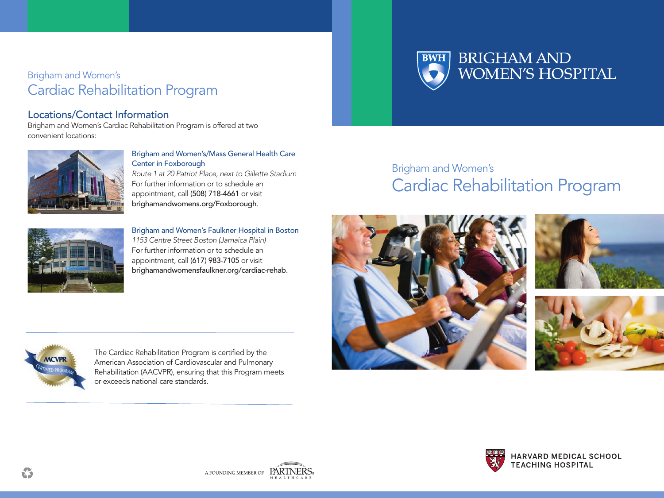## Brigham and Women's Cardiac Rehabilitation Program

### Locations/Contact Information

Brigham and Women's Cardiac Rehabilitation Program is offered at two convenient locations:



Brigham and Women's/Mass General Health Care Center in Foxborough Route 1 at 20 Patriot Place, next to Gillette Stadium For further information or to schedule an appointment, call (508) 718-4661 or visit brighamandwomens.org/Foxborough.



Brigham and Women's Faulkner Hospital in Boston 1153 Centre Street Boston (Jamaica Plain) For further information or to schedule an appointment, call (617) 983-7105 or visit brighamandwomensfaulkner.org/cardiac-rehab.



# Brigham and Women's Cardiac Rehabilitation Program





The Cardiac Rehabilitation Program is certified by the American Association of Cardiovascular and Pulmonary Rehabilitation (AACVPR), ensuring that this Program meets or exceeds national care standards.